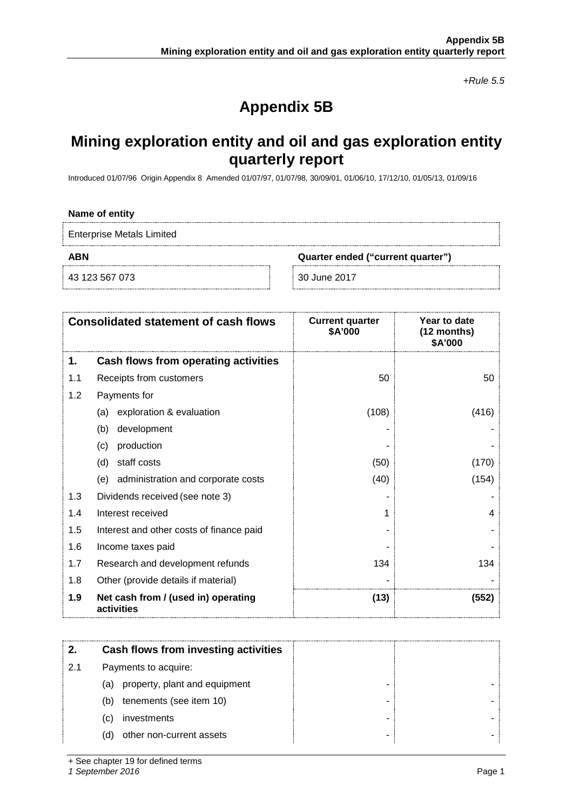*+Rule 5.5*

# **Appendix 5B**

## **Mining exploration entity and oil and gas exploration entity quarterly report**

Introduced 01/07/96 Origin Appendix 8 Amended 01/07/97, 01/07/98, 30/09/01, 01/06/10, 17/12/10, 01/05/13, 01/09/16

#### **Name of entity**

Enterprise Metals Limited

**ABN Quarter ended ("current quarter")**

43 123 567 073 30 June 2017

|     | <b>Consolidated statement of cash flows</b>       | <b>Current quarter</b><br>\$A'000 | Year to date<br>$(12$ months)<br>\$A'000 |
|-----|---------------------------------------------------|-----------------------------------|------------------------------------------|
| 1.  | Cash flows from operating activities              |                                   |                                          |
| 1.1 | Receipts from customers                           | 50                                | 50                                       |
| 1.2 | Payments for                                      |                                   |                                          |
|     | exploration & evaluation<br>(a)                   | (108)                             | (416)                                    |
|     | development<br>(b)                                |                                   |                                          |
|     | production<br>(c)                                 |                                   |                                          |
|     | staff costs<br>(d)                                | (50)                              | (170)                                    |
|     | administration and corporate costs<br>(e)         | (40)                              | (154)                                    |
| 1.3 | Dividends received (see note 3)                   |                                   |                                          |
| 1.4 | Interest received                                 |                                   | 4                                        |
| 1.5 | Interest and other costs of finance paid          |                                   |                                          |
| 1.6 | Income taxes paid                                 |                                   |                                          |
| 1.7 | Research and development refunds                  | 134                               | 134                                      |
| 1.8 | Other (provide details if material)               |                                   |                                          |
| 1.9 | Net cash from / (used in) operating<br>activities | (13)                              | (552)                                    |

|     | Cash flows from investing activities |  |
|-----|--------------------------------------|--|
| 2.1 | Payments to acquire:                 |  |
|     | property, plant and equipment<br>(a) |  |
|     | tenements (see item 10)<br>(b)       |  |
|     | investments<br>(C)                   |  |
|     | other non-current assets<br>(d)      |  |

+ See chapter 19 for defined terms

*1 September 2016* Page 1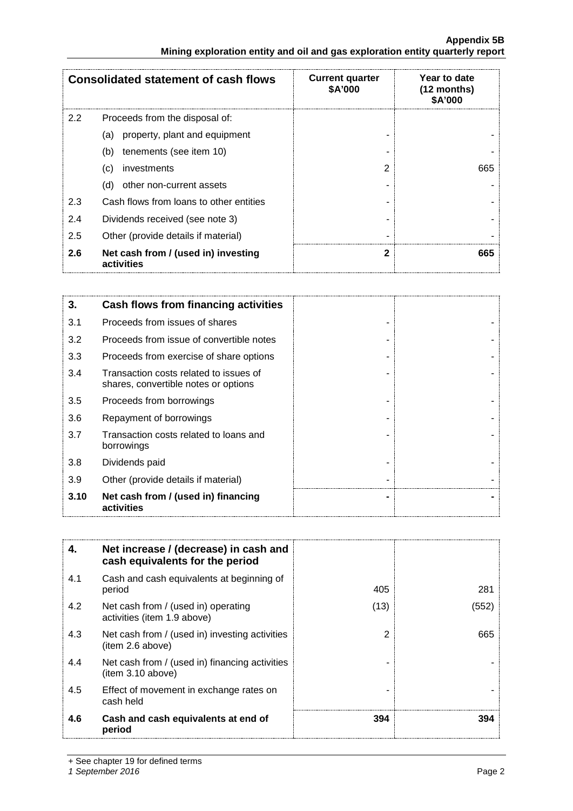#### **Appendix 5B Mining exploration entity and oil and gas exploration entity quarterly report**

| <b>Consolidated statement of cash flows</b> |                                                   | <b>Current quarter</b><br>\$A'000 | Year to date<br>$(12$ months)<br>\$A'000 |
|---------------------------------------------|---------------------------------------------------|-----------------------------------|------------------------------------------|
| $2.2^{\circ}$                               | Proceeds from the disposal of:                    |                                   |                                          |
|                                             | property, plant and equipment<br>(a)              |                                   |                                          |
|                                             | tenements (see item 10)<br>(b)                    |                                   |                                          |
|                                             | investments<br>(c)                                | ႒                                 | 665                                      |
|                                             | other non-current assets<br>(d)                   |                                   |                                          |
| 2.3                                         | Cash flows from loans to other entities           |                                   |                                          |
| 2.4                                         | Dividends received (see note 3)                   |                                   |                                          |
| 2.5                                         | Other (provide details if material)               |                                   |                                          |
| 2.6                                         | Net cash from / (used in) investing<br>activities |                                   | 665                                      |

| 3.   | Cash flows from financing activities                                           |  |
|------|--------------------------------------------------------------------------------|--|
| 3.1  | Proceeds from issues of shares                                                 |  |
| 3.2  | Proceeds from issue of convertible notes                                       |  |
| 3.3  | Proceeds from exercise of share options                                        |  |
| 3.4  | Transaction costs related to issues of<br>shares, convertible notes or options |  |
| 3.5  | Proceeds from borrowings                                                       |  |
| 3.6  | Repayment of borrowings                                                        |  |
| 3.7  | Transaction costs related to loans and<br>borrowings                           |  |
| 3.8  | Dividends paid                                                                 |  |
| 3.9  | Other (provide details if material)                                            |  |
| 3.10 | Net cash from / (used in) financing<br>activities                              |  |

| 4.  | Net increase / (decrease) in cash and<br>cash equivalents for the period |      |       |
|-----|--------------------------------------------------------------------------|------|-------|
| 4.1 | Cash and cash equivalents at beginning of<br>period                      | 405  | 281   |
| 4.2 | Net cash from / (used in) operating<br>activities (item 1.9 above)       | (13) | (552) |
| 4.3 | Net cash from / (used in) investing activities<br>(item 2.6 above)       | 2    | 665   |
| 4.4 | Net cash from / (used in) financing activities<br>item 3.10 above)       |      |       |
| 4.5 | Effect of movement in exchange rates on<br>cash held                     |      |       |
| 4.6 | Cash and cash equivalents at end of<br>period                            | 394  | 394   |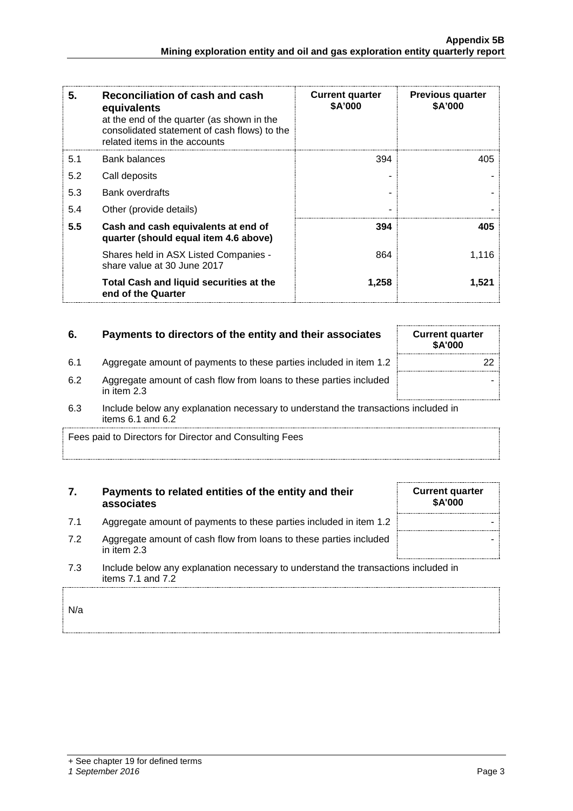| 5.  | Reconciliation of cash and cash<br>equivalents<br>at the end of the quarter (as shown in the<br>consolidated statement of cash flows) to the<br>related items in the accounts | <b>Current quarter</b><br><b>\$A'000</b> | <b>Previous quarter</b><br>\$A'000 |
|-----|-------------------------------------------------------------------------------------------------------------------------------------------------------------------------------|------------------------------------------|------------------------------------|
| 5.1 | <b>Bank balances</b>                                                                                                                                                          | 394                                      | 405                                |
| 5.2 | Call deposits                                                                                                                                                                 |                                          |                                    |
| 5.3 | <b>Bank overdrafts</b>                                                                                                                                                        |                                          |                                    |
| 5.4 | Other (provide details)                                                                                                                                                       |                                          |                                    |
| 5.5 | Cash and cash equivalents at end of<br>quarter (should equal item 4.6 above)                                                                                                  | 394                                      | 405                                |
|     | Shares held in ASX Listed Companies -<br>share value at 30 June 2017                                                                                                          | 864                                      | 1.116                              |
|     | Total Cash and liquid securities at the<br>end of the Quarter                                                                                                                 | 1,258                                    | 1,521                              |

## **6.** Payments to directors of the entity and their associates

- 6.1 Aggregate amount of payments to these parties included in item 1.2
- 6.2 Aggregate amount of cash flow from loans to these parties included in item 2.3
- 6.3 Include below any explanation necessary to understand the transactions included in items 6.1 and 6.2

Fees paid to Directors for Director and Consulting Fees

## **7. Payments to related entities of the entity and their associates**

- 7.1 Aggregate amount of payments to these parties included in item 1.2
- 7.2 Aggregate amount of cash flow from loans to these parties included in item 2.3
- 7.3 Include below any explanation necessary to understand the transactions included in items 7.1 and 7.2

N/a

|  | + See chapter 19 for defined terms |  |  |
|--|------------------------------------|--|--|
|  |                                    |  |  |

### *1 September 2016* Page 3

| <b>Current quarter</b><br>\$A'000 |    |
|-----------------------------------|----|
|                                   | 22 |
|                                   |    |
|                                   |    |

| <b>Current quarter</b><br>\$A'000 |  |
|-----------------------------------|--|
|                                   |  |
|                                   |  |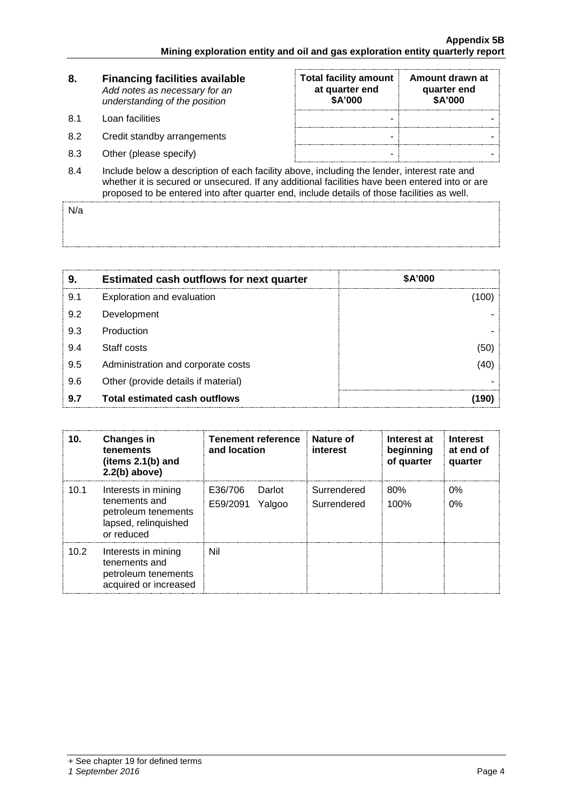| 8.  | <b>Financing facilities available</b><br>Add notes as necessary for an<br>understanding of the position                                                                                                                                                                                      | <b>Total facility amount</b><br>at quarter end<br>\$A'000 | Amount drawn at<br>quarter end<br>\$A'000 |
|-----|----------------------------------------------------------------------------------------------------------------------------------------------------------------------------------------------------------------------------------------------------------------------------------------------|-----------------------------------------------------------|-------------------------------------------|
| 8.1 | Loan facilities                                                                                                                                                                                                                                                                              | -                                                         |                                           |
| 8.2 | Credit standby arrangements                                                                                                                                                                                                                                                                  | -                                                         |                                           |
| 8.3 | Other (please specify)                                                                                                                                                                                                                                                                       | -                                                         |                                           |
| 8.4 | Include below a description of each facility above, including the lender, interest rate and<br>whether it is secured or unsecured. If any additional facilities have been entered into or are<br>proposed to be entered into after quarter end, include details of those facilities as well. |                                                           |                                           |

 $N/a$ 

| 9   | <b>Estimated cash outflows for next quarter</b> | \$A'000 |
|-----|-------------------------------------------------|---------|
| 9.1 | Exploration and evaluation                      |         |
| 9.2 | Development                                     |         |
| 9.3 | Production                                      |         |
| 9.4 | Staff costs                                     |         |
| 9.5 | Administration and corporate costs              |         |
| 9.6 | Other (provide details if material)             |         |
| 9.7 | <b>Total estimated cash outflows</b>            |         |

| 10.               | <b>Changes in</b><br>tenements<br>(items $2.1(b)$ and<br>$2.2(b)$ above)                          | Tenement reference<br>and location      | Nature of<br>interest      | Interest at<br>beginning<br>of quarter | Interest<br>at end of<br>quarter |
|-------------------|---------------------------------------------------------------------------------------------------|-----------------------------------------|----------------------------|----------------------------------------|----------------------------------|
| 10.1              | Interests in mining<br>tenements and<br>petroleum tenements<br>lapsed, relinquished<br>or reduced | E36/706<br>Darlot<br>E59/2091<br>Yalgoo | Surrendered<br>Surrendered | 80%<br>100%                            | 0%<br>0%                         |
| 10.2 <sub>1</sub> | Interests in mining<br>tenements and<br>petroleum tenements<br>acquired or increased              | Nil                                     |                            |                                        |                                  |